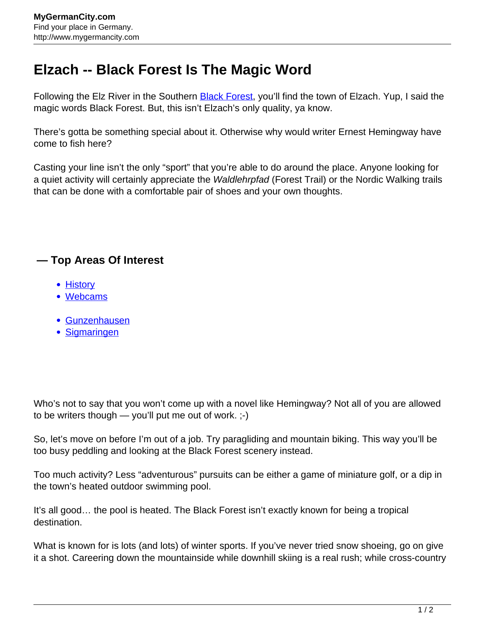## **Elzach -- Black Forest Is The Magic Word**

Following the Elz River in the Southern **[Black Forest](http://www.mygermancity.com/black-forest)**, you'll find the town of Elzach. Yup, I said the magic words Black Forest. But, this isn't Elzach's only quality, ya know.

There's gotta be something special about it. Otherwise why would writer Ernest Hemingway have come to fish here?

Casting your line isn't the only "sport" that you're able to do around the place. Anyone looking for a quiet activity will certainly appreciate the *Waldlehrpfad* (Forest Trail) or the Nordic Walking trails that can be done with a comfortable pair of shoes and your own thoughts.

## **— Top Areas Of Interest**

- [History](http://www.mygermancity.com/leipzig-history)
- [Webcams](http://www.mygermancity.com/neustadt-holstein-webcams)
- [Gunzenhausen](http://www.mygermancity.com/gunzenhausen)
- [Sigmaringen](http://www.mygermancity.com/sigmaringen)

Who's not to say that you won't come up with a novel like Hemingway? Not all of you are allowed to be writers though — you'll put me out of work. ;-)

So, let's move on before I'm out of a job. Try paragliding and mountain biking. This way you'll be too busy peddling and looking at the Black Forest scenery instead.

Too much activity? Less "adventurous" pursuits can be either a game of miniature golf, or a dip in the town's heated outdoor swimming pool.

It's all good… the pool is heated. The Black Forest isn't exactly known for being a tropical destination.

What is known for is lots (and lots) of winter sports. If you've never tried snow shoeing, go on give it a shot. Careering down the mountainside while downhill skiing is a real rush; while cross-country